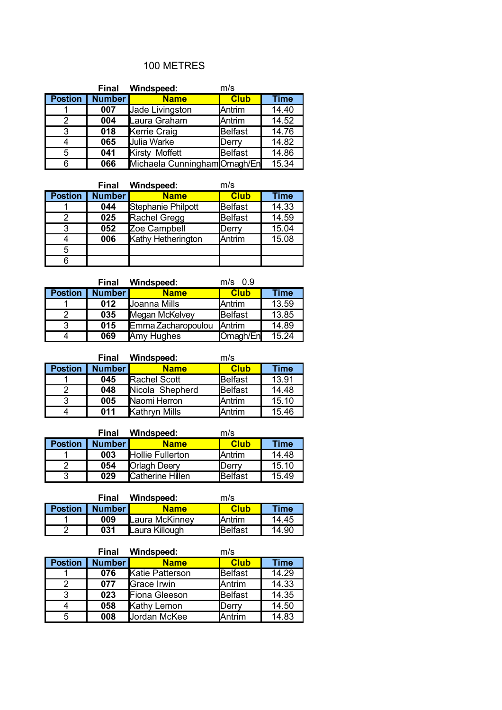#### 100 METRES

|                | <b>Final</b>  | Windspeed:                   | m/s         |             |
|----------------|---------------|------------------------------|-------------|-------------|
| <b>Postion</b> | <b>Number</b> | <b>Name</b>                  | <b>Club</b> | <b>Time</b> |
|                | 007           | Jade Livingston              | Antrim      | 14.40       |
| 2              | 004           | Laura Graham                 | Antrim      | 14.52       |
| 3              | 018           | Kerrie Craig                 | Belfast     | 14.76       |
| 4              | 065           | Julia Warke                  | Derry       | 14.82       |
| 5              | 041           | Kirsty Moffett               | Belfast     | 14.86       |
| 6              | 066           | Michaela Cunningham Omagh/En |             | 15.34       |

|                | <b>Final</b>  | Windspeed:         | m/s         |             |
|----------------|---------------|--------------------|-------------|-------------|
| <b>Postion</b> | <b>Number</b> | <b>Name</b>        | <b>Club</b> | <b>Time</b> |
|                | 044           | Stephanie Philpott | Belfast     | 14.33       |
| 2              | 025           | Rachel Gregg       | Belfast     | 14.59       |
| 3              | 052           | Zoe Campbell       | Derry       | 15.04       |
|                | 006           | Kathy Hetherington | Antrim      | 15.08       |
| 5              |               |                    |             |             |
| 6              |               |                    |             |             |

|                | <b>Final</b>  | Windspeed:         | $m/s$ 0.9     |       |
|----------------|---------------|--------------------|---------------|-------|
| <b>Postion</b> | <b>Number</b> | <b>Name</b>        | <b>Club</b>   | Time  |
|                | 012           | Joanna Mills       | Antrim        | 13.59 |
| 2              | 035           | Megan McKelvey     | Belfast       | 13.85 |
| 3              | 015           | Emma Zacharopoulou | <b>Antrim</b> | 14.89 |
|                | 069           | Amy Hughes         | Omagh/En      | 15.24 |

|                | Final         | Windspeed:      | m/s         |             |
|----------------|---------------|-----------------|-------------|-------------|
| <b>Postion</b> | <b>Number</b> | <b>Name</b>     | <b>Club</b> | <b>Time</b> |
|                | 045           | Rachel Scott    | Belfast     | 13.91       |
| 2              | 048           | Nicola Shepherd | Belfast     | 14.48       |
| 3              | 005           | Naomi Herron    | Antrim      | 15.10       |
|                | 011           | Kathryn Mills   | Antrim      | 15.46       |

|                | Final  | Windspeed:          | m/s           |             |
|----------------|--------|---------------------|---------------|-------------|
| <b>Postion</b> | Number | <b>Name</b>         | <b>Club</b>   | <b>Time</b> |
|                | 003    | Hollie Fullerton    | Antrim        | 14.48       |
| 2              | 054    | <b>Orlagh Deery</b> | <b>IDerry</b> | 15.10       |
| 3              | 029    | Catherine Hillen    | Belfast       | 15.49       |

|                | Final    | Windspeed:     | m/s         |       |
|----------------|----------|----------------|-------------|-------|
| <b>Postion</b> | Number I | <b>Name</b>    | <b>Club</b> | Time  |
|                | 009      | Laura McKinney | lAntrim     | 14.45 |
| ⌒              | 031      | Laura Killough | Belfast     | 14.90 |

|                | <b>Final</b>  | Windspeed:      | m/s         |             |
|----------------|---------------|-----------------|-------------|-------------|
| <b>Postion</b> | <b>Number</b> | <b>Name</b>     | <b>Club</b> | <b>Time</b> |
|                | 076           | Katie Patterson | Belfast     | 14.29       |
| 2              | 077           | Grace Irwin     | Antrim      | 14.33       |
| 3              | 023           | Fiona Gleeson   | Belfast     | 14.35       |
| 4              | 058           | Kathy Lemon     | Derry       | 14.50       |
| 5              | 008           | Jordan McKee    | Antrim      | 14.83       |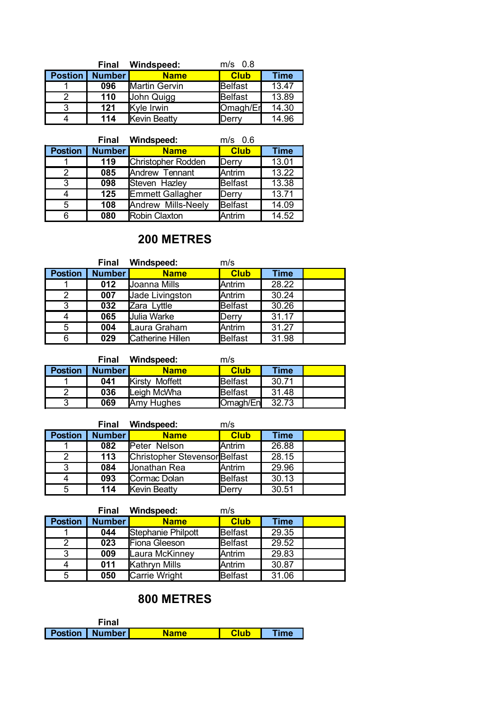|   | <b>Final</b>            | Windspeed:    | $m/s$ 0.8   |             |
|---|-------------------------|---------------|-------------|-------------|
|   | <b>Postion   Number</b> | <b>Name</b>   | <b>Club</b> | <b>Time</b> |
|   | 096                     | Martin Gervin | Belfast     | 13.47       |
| 2 | 110                     | John Quigg    | Belfast     | 13.89       |
| 3 | 121                     | Kyle Irwin    | Omagh/Er    | 14.30       |
|   | 114                     | Kevin Beatty  | Derrv       | 14.96       |

|                | <b>Final</b>  | Windspeed:         | $m/s$ 0.6   |             |
|----------------|---------------|--------------------|-------------|-------------|
| <b>Postion</b> | <b>Number</b> | <b>Name</b>        | <b>Club</b> | <b>Time</b> |
|                | 119           | Christopher Rodden | Derry       | 13.01       |
| $\overline{2}$ | 085           | Andrew Tennant     | Antrim      | 13.22       |
| 3              | 098           | Steven Hazley      | Belfast     | 13.38       |
| 4              | 125           | Emmett Gallagher   | Derry       | 13.71       |
| 5              | 108           | Andrew Mills-Neely | Belfast     | 14.09       |
| 6              | 080           | Robin Claxton      | Antrim      | 14.52       |

# **200 METRES**

|                | <b>Final</b> | Windspeed:          | m/s         |             |
|----------------|--------------|---------------------|-------------|-------------|
| <b>Postion</b> | Number       | <b>Name</b>         | <b>Club</b> | <b>Time</b> |
|                | 012          | <b>Joanna Mills</b> | Antrim      | 28.22       |
| 2              | 007          | Jade Livingston     | Antrim      | 30.24       |
| 3              | 032          | Zara Lyttle         | Belfast     | 30.26       |
|                | 065          | <b>Julia Warke</b>  | Derry       | 31.17       |
| 5              | 004          | Laura Graham        | Antrim      | 31.27       |
| 6              | 029          | Catherine Hillen    | Belfast     | 31.98       |

|                | <b>Final</b> | Windspeed:     | m/s         |       |
|----------------|--------------|----------------|-------------|-------|
| <b>Postion</b> | Number I     | <b>Name</b>    | <b>Club</b> | Time  |
|                | 041          | Kirsty Moffett | Belfast     | 30.71 |
| ◠              | 036          | Leigh McWha    | Belfast     | 31.48 |
| 2              | 069          | Amy Hughes     | Omagh/En    | 32.73 |

|                | <b>Final</b> | Windspeed:                    | m/s            |                    |  |
|----------------|--------------|-------------------------------|----------------|--------------------|--|
| <b>Postion</b> | Number       | <b>Name</b>                   | <b>Club</b>    | Time               |  |
|                | 082          | <b>IPeter Nelson</b>          | <b>IAntrim</b> | 26.88              |  |
| 2              | 113          | Christopher Stevensor Belfast |                | 28.15              |  |
| 3              | 084          | <b>Jonathan Rea</b>           | <b>IAntrim</b> | 29.96              |  |
|                | 093          | Cormac Dolan                  | Belfast        | $\overline{30.13}$ |  |
| 5              | 114          | Kevin Beatty                  | <b>Derry</b>   | 30.51              |  |

|                | <b>Final</b> | Windspeed:           | m/s           |             |  |
|----------------|--------------|----------------------|---------------|-------------|--|
| <b>Postion</b> | Number       | <b>Name</b>          | <b>Club</b>   | <b>Time</b> |  |
|                | 044          | Stephanie Philpott   | Belfast       | 29.35       |  |
| 2              | 023          | Fiona Gleeson        | Belfast       | 29.52       |  |
| 3              | 009          | Laura McKinney       | Antrim        | 29.83       |  |
|                | 011          | <b>Kathryn Mills</b> | <b>Antrim</b> | 30.87       |  |
| 5              | 050          | Carrie Wright        | Belfast       | 31.06       |  |

## **800 METRES**

|                | Final                   |             |             |
|----------------|-------------------------|-------------|-------------|
| <b>Postion</b> | / Number <mark>/</mark> | <b>Name</b> | <b>Time</b> |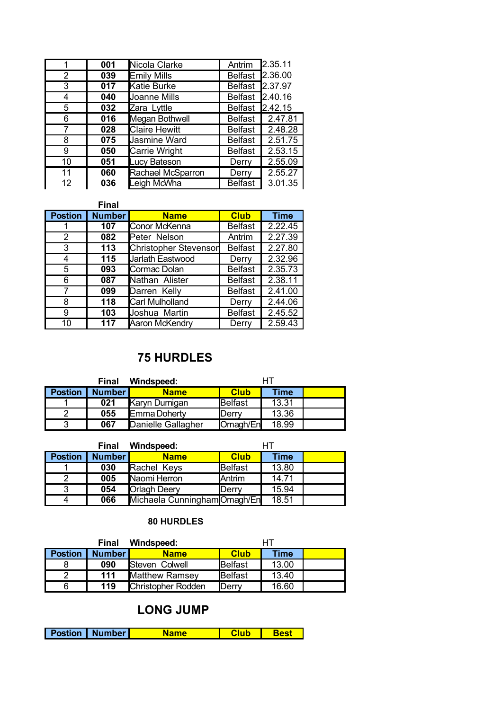| 1  | 001 | Nicola Clarke        | Antrim         | 2.35.11 |
|----|-----|----------------------|----------------|---------|
| 2  | 039 | <b>Emily Mills</b>   | <b>Belfast</b> | 2.36.00 |
| 3  | 017 | Katie Burke          | <b>Belfast</b> | 2.37.97 |
| 4  | 040 | Joanne Mills         | <b>Belfast</b> | 2.40.16 |
| 5  | 032 | Zara Lyttle          | <b>Belfast</b> | 2.42.15 |
| 6  | 016 | Megan Bothwell       | <b>Belfast</b> | 2.47.81 |
| 7  | 028 | <b>Claire Hewitt</b> | <b>Belfast</b> | 2.48.28 |
| 8  | 075 | Jasmine Ward         | <b>Belfast</b> | 2.51.75 |
| 9  | 050 | Carrie Wright        | <b>Belfast</b> | 2.53.15 |
| 10 | 051 | Lucy Bateson         | Derry          | 2.55.09 |
| 11 | 060 | Rachael McSparron    | Derry          | 2.55.27 |
| 12 | 036 | Leigh McWha          | <b>Belfast</b> | 3.01.35 |

|                | <b>Final</b>  |                        |                |             |
|----------------|---------------|------------------------|----------------|-------------|
| <b>Postion</b> | <b>Number</b> | <b>Name</b>            | <b>Club</b>    | <b>Time</b> |
|                | 107           | Conor McKenna          | <b>Belfast</b> | 2.22.45     |
| 2              | 082           | Peter Nelson           | Antrim         | 2.27.39     |
| 3              | 113           | Christopher Stevensor  | <b>Belfast</b> | 2.27.80     |
| 4              | 115           | Jarlath Eastwood       | Derry          | 2.32.96     |
| 5              | 093           | Cormac Dolan           | <b>Belfast</b> | 2.35.73     |
| 6              | 087           | Nathan Alister         | <b>Belfast</b> | 2.38.11     |
| 7              | 099           | Darren Kelly           | <b>Belfast</b> | 2.41.00     |
| 8              | 118           | <b>Carl Mulholland</b> | Derry          | 2.44.06     |
| 9              | 103           | Joshua Martin          | <b>Belfast</b> | 2.45.52     |
| 10             | 117           | Aaron McKendry         | Derry          | 2.59.43     |

## **75 HURDLES**

| <b>Final</b><br>Windspeed: |               |                     |             |       |  |
|----------------------------|---------------|---------------------|-------------|-------|--|
| <b>Postion</b>             | <b>Number</b> | <b>Name</b>         | <b>Club</b> | Time  |  |
|                            | 021           | Karyn Dumigan       | Belfast     | 13.31 |  |
|                            | 055           | <b>Emma Doherty</b> | IDerrv      | 13.36 |  |
|                            | 067           | Danielle Gallagher  | Omagh/En    | 18.99 |  |

|                | <b>Final</b>  | Windspeed:                   |             | HТ    |  |
|----------------|---------------|------------------------------|-------------|-------|--|
| <b>Postion</b> | <b>Number</b> | <b>Name</b>                  | <b>Club</b> | Time  |  |
|                | 030           | Rachel Keys                  | Belfast     | 13.80 |  |
|                | 005           | Naomi Herron                 | Antrim      | 14.71 |  |
| 3              | 054           | <b>Orlagh Deery</b>          | Derry       | 15.94 |  |
|                | 066           | Michaela Cunningham Omagh/En |             | 18.51 |  |

#### **80 HURDLES**

|                | <b>Final</b> | Windspeed:             |               |       |  |
|----------------|--------------|------------------------|---------------|-------|--|
| <b>Postion</b> | Number       | <b>Name</b>            | <b>Club</b>   | Time  |  |
|                | 090          | <b>ISteven Colwell</b> | Belfast       | 13.00 |  |
| ⌒              | 111          | Matthew Ramsey         | Belfast       | 13.40 |  |
| 6              | 119          | Christopher Rodden     | <b>IDerry</b> | 16.60 |  |

# **LONG JUMP**

| <b>Postion   Number</b><br>Name | Club |  |
|---------------------------------|------|--|
|---------------------------------|------|--|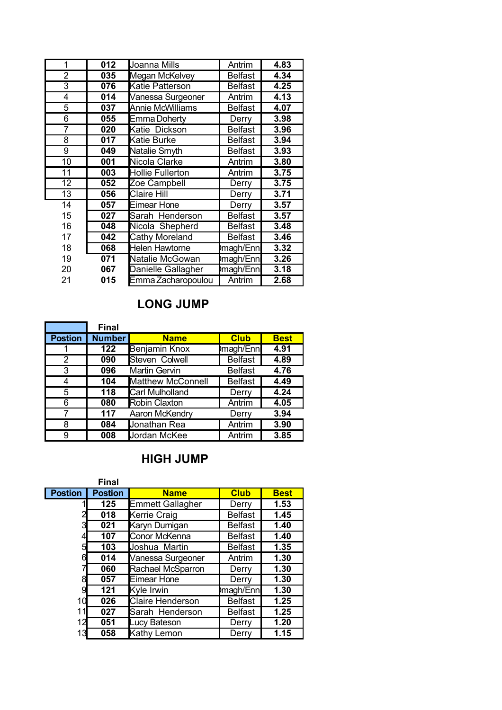| 1              | 012 | Joanna Mills            | Antrim         | 4.83              |
|----------------|-----|-------------------------|----------------|-------------------|
| 2              | 035 | Megan McKelvey          | <b>Belfast</b> | 4.34              |
| 3              | 076 | Katie Patterson         | <b>Belfast</b> | 4.25              |
| 4              | 014 | Vanessa Surgeoner       | Antrim         | 4.13              |
| 5              | 037 | <b>Annie McWilliams</b> | <b>Belfast</b> | 4.07              |
| 6              | 055 | Emma Doherty            | Derry          | 3.98              |
| 7              | 020 | Katie Dickson           | <b>Belfast</b> | 3.96              |
| $\overline{8}$ | 017 | Katie Burke             | <b>Belfast</b> | 3.94              |
| $\overline{9}$ | 049 | Natalie Smyth           | <b>Belfast</b> | 3.93              |
| 10             | 001 | Nicola Clarke           | Antrim         | 3.80              |
| 11             | 003 | Hollie Fullerton        | Antrim         | 3.75              |
| 12             | 052 | Zoe Campbell            | Derry          | 3.75              |
| 13             | 056 | <b>Claire Hill</b>      | Derry          | 3.71              |
| 14             | 057 | Eimear Hone             | Derry          | 3.57              |
| 15             | 027 | Sarah Henderson         | <b>Belfast</b> | $\overline{3.57}$ |
| 16             | 048 | Nicola Shepherd         | <b>Belfast</b> | 3.48              |
| 17             | 042 | Cathy Moreland          | <b>Belfast</b> | 3.46              |
| 18             | 068 | Helen Hawtorne          | )magh/Enni     | 3.32              |
| 19             | 071 | Natalie McGowan         | magh/Enni      | 3.26              |
| 20             | 067 | Danielle Gallagher      | magh/Enni      | 3.18              |
| 21             | 015 | Emma Zacharopoulou      | Antrim         | 2.68              |

# **LONG JUMP**

÷

|                | <b>Final</b>  |                          |                |             |
|----------------|---------------|--------------------------|----------------|-------------|
| <b>Postion</b> | <b>Number</b> | <b>Name</b>              | <b>Club</b>    | <b>Best</b> |
|                | 122           | Benjamin Knox            | magh/Enni      | 4.91        |
| 2              | 090           | Steven Colwell           | <b>Belfast</b> | 4.89        |
| 3              | 096           | Martin Gervin            | <b>Belfast</b> | 4.76        |
| 4              | 104           | <b>Matthew McConnell</b> | <b>Belfast</b> | 4.49        |
| 5              | 118           | Carl Mulholland          | Derry          | 4.24        |
| 6              | 080           | Robin Claxton            | Antrim         | 4.05        |
| 7              | 117           | Aaron McKendry           | Derry          | 3.94        |
| 8              | 084           | Jonathan Rea             | Antrim         | 3.90        |
| 9              | 008           | Jordan McKee             | Antrim         | 3.85        |

# **HIGH JUMP**

|                | <b>Final</b>   |                   |                |             |
|----------------|----------------|-------------------|----------------|-------------|
| <b>Postion</b> | <b>Postion</b> | <b>Name</b>       | <b>Club</b>    | <b>Best</b> |
|                | 125            | Emmett Gallagher  | Derry          | 1.53        |
|                | 018            | Kerrie Craig      | <b>Belfast</b> | 1.45        |
| 3              | 021            | Karyn Dumigan     | <b>Belfast</b> | 1.40        |
| 4              | 107            | Conor McKenna     | <b>Belfast</b> | 1.40        |
| 5              | 103            | Joshua Martin     | <b>Belfast</b> | 1.35        |
| 6              | 014            | Vanessa Surgeoner | Antrim         | 1.30        |
|                | 060            | Rachael McSparron | Derry          | 1.30        |
| 8              | 057            | Eimear Hone       | Derry          | 1.30        |
| 91             | 121            | Kyle Irwin        | magh/Enni      | 1.30        |
| 10             | 026            | Claire Henderson  | <b>Belfast</b> | 1.25        |
| 11             | 027            | Sarah Henderson   | <b>Belfast</b> | 1.25        |
| 12             | 051            | Lucy Bateson      | Derry          | 1.20        |
| 13             | 058            | Kathy Lemon       | Derry          | 1.15        |